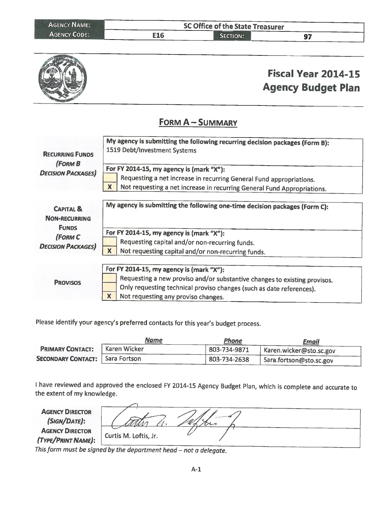| <b>AGENCY NAME:</b> | SC Office of the State Treasurer |                 |    |  |
|---------------------|----------------------------------|-----------------|----|--|
| <b>AGENCY CODE:</b> | E16                              | <b>SECTION:</b> | 97 |  |



Please identify your agency's preferred contacts for this year's budget process.

|                                        | <b>Name</b>  | <b>Phone</b> | <b>Email</b>            |
|----------------------------------------|--------------|--------------|-------------------------|
| <b>PRIMARY CONTACT:</b>                | Karen Wicker | 803-734-9871 | Karen.wicker@sto.sc.gov |
| <b>SECONDARY CONTACT:</b> Sara Fortson |              | 803-734-2638 | Sara.fortson@sto.sc.gov |

I have reviewed and approved the enclosed FY 2014-15 Agency Budget Plan, which is complete and accurate to the extent of my knowledge.

| <b>AGENCY DIRECTOR</b><br>(SIGN/DATE): |                       |  |
|----------------------------------------|-----------------------|--|
| <b>AGENCY DIRECTOR</b>                 |                       |  |
| (TYPE/PRINT NAME):<br>- -              | Curtis M. Loftis, Jr. |  |

This form must be signed by the department head - not a delegate.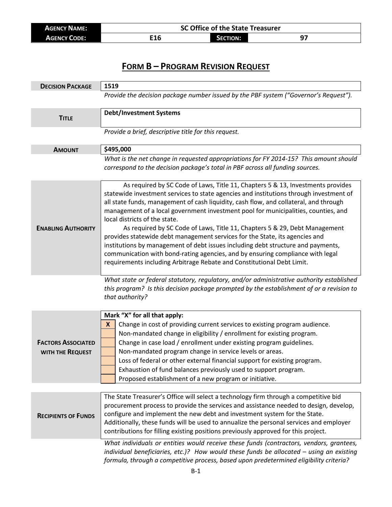| <b>AGENCY NAME:</b> |     | SC Office of the State Treasurer |    |
|---------------------|-----|----------------------------------|----|
| <b>AGENCY CODE:</b> | E16 | <b>SECTION:</b>                  | רח |

## **FORM B – PROGRAM REVISION REQUEST**

| <b>DECISION PACKAGE</b>                       | 1519                                                                                                                                                                                                                                                                                                                                                                                                                                                                                                                                                                                                                                                                                                                                                                                                   |  |
|-----------------------------------------------|--------------------------------------------------------------------------------------------------------------------------------------------------------------------------------------------------------------------------------------------------------------------------------------------------------------------------------------------------------------------------------------------------------------------------------------------------------------------------------------------------------------------------------------------------------------------------------------------------------------------------------------------------------------------------------------------------------------------------------------------------------------------------------------------------------|--|
|                                               | Provide the decision package number issued by the PBF system ("Governor's Request").                                                                                                                                                                                                                                                                                                                                                                                                                                                                                                                                                                                                                                                                                                                   |  |
| <b>TITLE</b>                                  | <b>Debt/Investment Systems</b>                                                                                                                                                                                                                                                                                                                                                                                                                                                                                                                                                                                                                                                                                                                                                                         |  |
|                                               | Provide a brief, descriptive title for this request.                                                                                                                                                                                                                                                                                                                                                                                                                                                                                                                                                                                                                                                                                                                                                   |  |
| <b>AMOUNT</b>                                 | \$495,000                                                                                                                                                                                                                                                                                                                                                                                                                                                                                                                                                                                                                                                                                                                                                                                              |  |
|                                               | What is the net change in requested appropriations for FY 2014-15? This amount should<br>correspond to the decision package's total in PBF across all funding sources.                                                                                                                                                                                                                                                                                                                                                                                                                                                                                                                                                                                                                                 |  |
| <b>ENABLING AUTHORITY</b>                     | As required by SC Code of Laws, Title 11, Chapters 5 & 13, Investments provides<br>statewide investment services to state agencies and institutions through investment of<br>all state funds, management of cash liquidity, cash flow, and collateral, and through<br>management of a local government investment pool for municipalities, counties, and<br>local districts of the state.<br>As required by SC Code of Laws, Title 11, Chapters 5 & 29, Debt Management<br>provides statewide debt management services for the State, its agencies and<br>institutions by management of debt issues including debt structure and payments,<br>communication with bond-rating agencies, and by ensuring compliance with legal<br>requirements including Arbitrage Rebate and Constitutional Debt Limit. |  |
|                                               | What state or federal statutory, regulatory, and/or administrative authority established<br>this program? Is this decision package prompted by the establishment of or a revision to<br>that authority?                                                                                                                                                                                                                                                                                                                                                                                                                                                                                                                                                                                                |  |
| <b>FACTORS ASSOCIATED</b><br>WITH THE REQUEST | Mark "X" for all that apply:<br>Change in cost of providing current services to existing program audience.<br>X<br>Non-mandated change in eligibility / enrollment for existing program.<br>Change in case load / enrollment under existing program guidelines.<br>Non-mandated program change in service levels or areas.<br>Loss of federal or other external financial support for existing program.<br>Exhaustion of fund balances previously used to support program.<br>Proposed establishment of a new program or initiative.                                                                                                                                                                                                                                                                   |  |
| <b>RECIPIENTS OF FUNDS</b>                    | The State Treasurer's Office will select a technology firm through a competitive bid<br>procurement process to provide the services and assistance needed to design, develop,<br>configure and implement the new debt and investment system for the State.<br>Additionally, these funds will be used to annualize the personal services and employer<br>contributions for filling existing positions previously approved for this project.                                                                                                                                                                                                                                                                                                                                                             |  |
|                                               | What individuals or entities would receive these funds (contractors, vendors, grantees,<br>individual beneficiaries, etc.)? How would these funds be allocated - using an existing<br>formula, through a competitive process, based upon predetermined eligibility criteria?                                                                                                                                                                                                                                                                                                                                                                                                                                                                                                                           |  |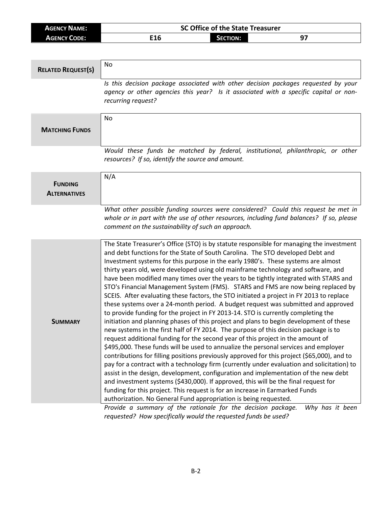| <b>AGENCY NAME:</b> | SC Office of the State Treasurer |                 |     |
|---------------------|----------------------------------|-----------------|-----|
| <b>AGENCY CODE:</b> | E16                              | <b>SECTION:</b> | , כ |

| <b>RELATED REQUEST(S)</b>             | No                                                                                                                                                                                                                                                                                                                                                                                                                                                                                                                                                                                                                                                                                                                                                                                                                                                                                                                                                                                                                                                                                                                                                                                                                                                                                                                                                                                                                                                                                                                                                                                                                                                                                                                                                                                 |
|---------------------------------------|------------------------------------------------------------------------------------------------------------------------------------------------------------------------------------------------------------------------------------------------------------------------------------------------------------------------------------------------------------------------------------------------------------------------------------------------------------------------------------------------------------------------------------------------------------------------------------------------------------------------------------------------------------------------------------------------------------------------------------------------------------------------------------------------------------------------------------------------------------------------------------------------------------------------------------------------------------------------------------------------------------------------------------------------------------------------------------------------------------------------------------------------------------------------------------------------------------------------------------------------------------------------------------------------------------------------------------------------------------------------------------------------------------------------------------------------------------------------------------------------------------------------------------------------------------------------------------------------------------------------------------------------------------------------------------------------------------------------------------------------------------------------------------|
|                                       | Is this decision package associated with other decision packages requested by your<br>agency or other agencies this year? Is it associated with a specific capital or non-<br>recurring request?                                                                                                                                                                                                                                                                                                                                                                                                                                                                                                                                                                                                                                                                                                                                                                                                                                                                                                                                                                                                                                                                                                                                                                                                                                                                                                                                                                                                                                                                                                                                                                                   |
| <b>MATCHING FUNDS</b>                 | No                                                                                                                                                                                                                                                                                                                                                                                                                                                                                                                                                                                                                                                                                                                                                                                                                                                                                                                                                                                                                                                                                                                                                                                                                                                                                                                                                                                                                                                                                                                                                                                                                                                                                                                                                                                 |
|                                       | Would these funds be matched by federal, institutional, philanthropic, or other<br>resources? If so, identify the source and amount.                                                                                                                                                                                                                                                                                                                                                                                                                                                                                                                                                                                                                                                                                                                                                                                                                                                                                                                                                                                                                                                                                                                                                                                                                                                                                                                                                                                                                                                                                                                                                                                                                                               |
| <b>FUNDING</b><br><b>ALTERNATIVES</b> | N/A                                                                                                                                                                                                                                                                                                                                                                                                                                                                                                                                                                                                                                                                                                                                                                                                                                                                                                                                                                                                                                                                                                                                                                                                                                                                                                                                                                                                                                                                                                                                                                                                                                                                                                                                                                                |
|                                       | What other possible funding sources were considered? Could this request be met in<br>whole or in part with the use of other resources, including fund balances? If so, please<br>comment on the sustainability of such an approach.                                                                                                                                                                                                                                                                                                                                                                                                                                                                                                                                                                                                                                                                                                                                                                                                                                                                                                                                                                                                                                                                                                                                                                                                                                                                                                                                                                                                                                                                                                                                                |
| <b>SUMMARY</b>                        | The State Treasurer's Office (STO) is by statute responsible for managing the investment<br>and debt functions for the State of South Carolina. The STO developed Debt and<br>Investment systems for this purpose in the early 1980's. These systems are almost<br>thirty years old, were developed using old mainframe technology and software, and<br>have been modified many times over the years to be tightly integrated with STARS and<br>STO's Financial Management System (FMS). STARS and FMS are now being replaced by<br>SCEIS. After evaluating these factors, the STO initiated a project in FY 2013 to replace<br>these systems over a 24-month period. A budget request was submitted and approved<br>to provide funding for the project in FY 2013-14. STO is currently completing the<br>initiation and planning phases of this project and plans to begin development of these<br>new systems in the first half of FY 2014. The purpose of this decision package is to<br>request additional funding for the second year of this project in the amount of<br>\$495,000. These funds will be used to annualize the personal services and employer<br>contributions for filling positions previously approved for this project (\$65,000), and to<br>pay for a contract with a technology firm (currently under evaluation and solicitation) to<br>assist in the design, development, configuration and implementation of the new debt<br>and investment systems (\$430,000). If approved, this will be the final request for<br>funding for this project. This request is for an increase in Earmarked Funds<br>authorization. No General Fund appropriation is being requested.<br>Drougle a cummary of the rationale for the decision nacleage. Why has it heap |

*Provide a summary of the rationale for the decision package. Why has it been requested? How specifically would the requested funds be used?*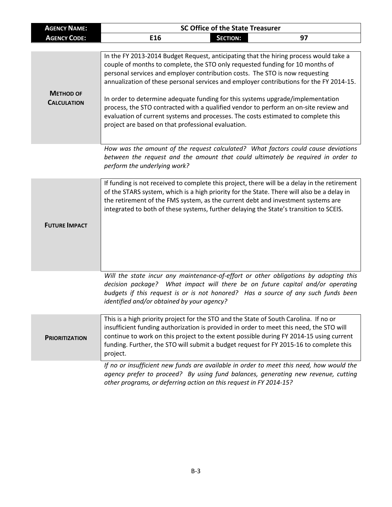| <b>AGENCY NAME:</b>                    |                                                                                                                                                                                                                                                                                                                                                                                                              | <b>SC Office of the State Treasurer</b> |    |
|----------------------------------------|--------------------------------------------------------------------------------------------------------------------------------------------------------------------------------------------------------------------------------------------------------------------------------------------------------------------------------------------------------------------------------------------------------------|-----------------------------------------|----|
| <b>AGENCY CODE:</b>                    | E16                                                                                                                                                                                                                                                                                                                                                                                                          | <b>SECTION:</b>                         | 97 |
|                                        | In the FY 2013-2014 Budget Request, anticipating that the hiring process would take a<br>couple of months to complete, the STO only requested funding for 10 months of<br>personal services and employer contribution costs. The STO is now requesting                                                                                                                                                       |                                         |    |
| <b>METHOD OF</b><br><b>CALCULATION</b> | annualization of these personal services and employer contributions for the FY 2014-15.<br>In order to determine adequate funding for this systems upgrade/implementation<br>process, the STO contracted with a qualified vendor to perform an on-site review and<br>evaluation of current systems and processes. The costs estimated to complete this<br>project are based on that professional evaluation. |                                         |    |
|                                        | How was the amount of the request calculated? What factors could cause deviations<br>between the request and the amount that could ultimately be required in order to<br>perform the underlying work?                                                                                                                                                                                                        |                                         |    |
| <b>FUTURE IMPACT</b>                   | If funding is not received to complete this project, there will be a delay in the retirement<br>of the STARS system, which is a high priority for the State. There will also be a delay in<br>the retirement of the FMS system, as the current debt and investment systems are<br>integrated to both of these systems, further delaying the State's transition to SCEIS.                                     |                                         |    |
|                                        | Will the state incur any maintenance-of-effort or other obligations by adopting this<br>decision package? What impact will there be on future capital and/or operating<br>budgets if this request is or is not honored? Has a source of any such funds been<br>identified and/or obtained by your agency?                                                                                                    |                                         |    |
| <b>PRIORITIZATION</b>                  | This is a high priority project for the STO and the State of South Carolina. If no or<br>insufficient funding authorization is provided in order to meet this need, the STO will<br>continue to work on this project to the extent possible during FY 2014-15 using current<br>funding. Further, the STO will submit a budget request for FY 2015-16 to complete this<br>project.                            |                                         |    |
|                                        | If no or insufficient new funds are available in order to meet this need, how would the<br>agency prefer to proceed? By using fund balances, generating new revenue, cutting<br>other programs, or deferring action on this request in FY 2014-15?                                                                                                                                                           |                                         |    |